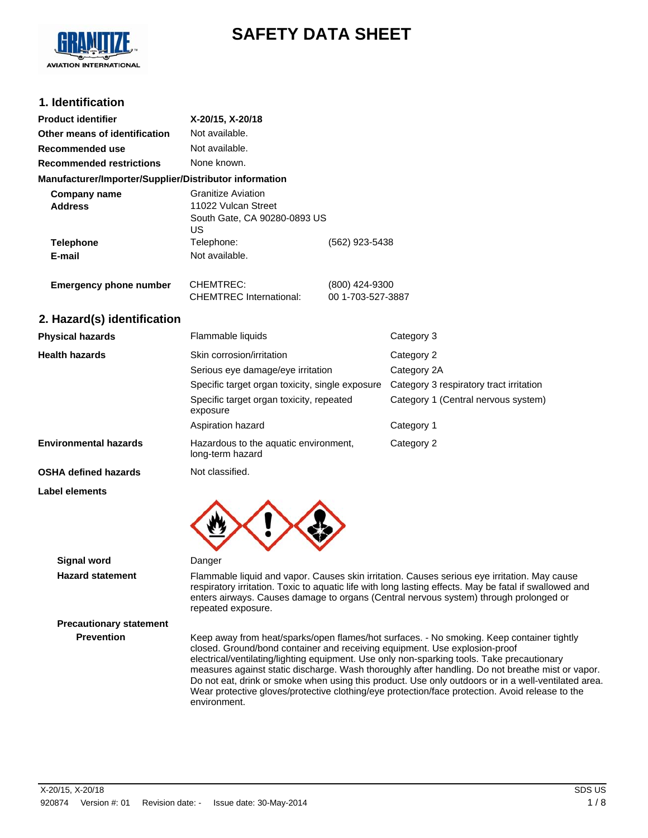

# **SAFETY DATA SHEET**

### **1. Identification**

| <b>Product identifier</b>                              | X-20/15, X-20/18                                                                       |                                     |                                         |
|--------------------------------------------------------|----------------------------------------------------------------------------------------|-------------------------------------|-----------------------------------------|
| Other means of identification                          | Not available.                                                                         |                                     |                                         |
| Recommended use                                        | Not available.                                                                         |                                     |                                         |
| <b>Recommended restrictions</b>                        | None known.                                                                            |                                     |                                         |
| Manufacturer/Importer/Supplier/Distributor information |                                                                                        |                                     |                                         |
| <b>Company name</b><br><b>Address</b>                  | <b>Granitize Aviation</b><br>11022 Vulcan Street<br>South Gate, CA 90280-0893 US<br>US |                                     |                                         |
| <b>Telephone</b><br>E-mail                             | Telephone:<br>Not available.                                                           | (562) 923-5438                      |                                         |
| <b>Emergency phone number</b>                          | CHEMTREC:<br><b>CHEMTREC</b> International:                                            | (800) 424-9300<br>00 1-703-527-3887 |                                         |
| 2. Hazard(s) identification                            |                                                                                        |                                     |                                         |
| <b>Physical hazards</b>                                | Flammable liquids                                                                      |                                     | Category 3                              |
| <b>Health hazards</b>                                  | Skin corrosion/irritation                                                              |                                     | Category 2                              |
|                                                        | Serious eye damage/eye irritation                                                      |                                     | Category 2A                             |
|                                                        | Specific target organ toxicity, single exposure                                        |                                     | Category 3 respiratory tract irritation |
|                                                        | Specific target organ toxicity, repeated<br>exposure                                   |                                     | Category 1 (Central nervous system)     |
|                                                        | Aspiration hazard                                                                      |                                     | Category 1                              |
| <b>Environmental hazards</b>                           | Hazardous to the aquatic environment,<br>long-term hazard                              |                                     | Category 2                              |

**OSHA defined hazards** Not classified.

**Label elements**



**Signal word** Danger

**Hazard statement** Flammable liquid and vapor. Causes skin irritation. Causes serious eye irritation. May cause respiratory irritation. Toxic to aquatic life with long lasting effects. May be fatal if swallowed and enters airways. Causes damage to organs (Central nervous system) through prolonged or repeated exposure.

**Precautionary statement**

**Prevention** Keep away from heat/sparks/open flames/hot surfaces. - No smoking. Keep container tightly closed. Ground/bond container and receiving equipment. Use explosion-proof electrical/ventilating/lighting equipment. Use only non-sparking tools. Take precautionary measures against static discharge. Wash thoroughly after handling. Do not breathe mist or vapor. Do not eat, drink or smoke when using this product. Use only outdoors or in a well-ventilated area. Wear protective gloves/protective clothing/eye protection/face protection. Avoid release to the environment.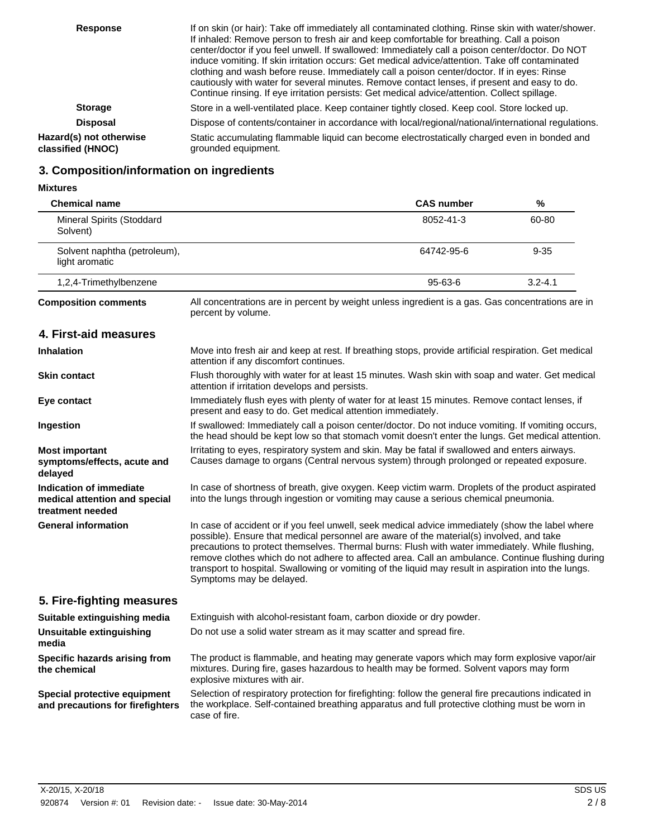| <b>Response</b>                              | If on skin (or hair): Take off immediately all contaminated clothing. Rinse skin with water/shower.<br>If inhaled: Remove person to fresh air and keep comfortable for breathing. Call a poison<br>center/doctor if you feel unwell. If swallowed: Immediately call a poison center/doctor. Do NOT<br>induce vomiting. If skin irritation occurs: Get medical advice/attention. Take off contaminated<br>clothing and wash before reuse. Immediately call a poison center/doctor. If in eyes: Rinse<br>cautiously with water for several minutes. Remove contact lenses, if present and easy to do.<br>Continue rinsing. If eye irritation persists: Get medical advice/attention. Collect spillage. |
|----------------------------------------------|------------------------------------------------------------------------------------------------------------------------------------------------------------------------------------------------------------------------------------------------------------------------------------------------------------------------------------------------------------------------------------------------------------------------------------------------------------------------------------------------------------------------------------------------------------------------------------------------------------------------------------------------------------------------------------------------------|
| <b>Storage</b>                               | Store in a well-ventilated place. Keep container tightly closed. Keep cool. Store locked up.                                                                                                                                                                                                                                                                                                                                                                                                                                                                                                                                                                                                         |
| <b>Disposal</b>                              | Dispose of contents/container in accordance with local/regional/national/international regulations.                                                                                                                                                                                                                                                                                                                                                                                                                                                                                                                                                                                                  |
| Hazard(s) not otherwise<br>classified (HNOC) | Static accumulating flammable liquid can become electrostatically charged even in bonded and<br>grounded equipment.                                                                                                                                                                                                                                                                                                                                                                                                                                                                                                                                                                                  |

# **3. Composition/information on ingredients**

**Mixtures**

| <b>Chemical name</b>                                                         |                                                                                                                                                                                                                                                                                                                                                                                                                                                                                                                                         | <b>CAS number</b> | %           |
|------------------------------------------------------------------------------|-----------------------------------------------------------------------------------------------------------------------------------------------------------------------------------------------------------------------------------------------------------------------------------------------------------------------------------------------------------------------------------------------------------------------------------------------------------------------------------------------------------------------------------------|-------------------|-------------|
| Mineral Spirits (Stoddard<br>Solvent)                                        |                                                                                                                                                                                                                                                                                                                                                                                                                                                                                                                                         | 8052-41-3         | 60-80       |
| Solvent naphtha (petroleum),<br>light aromatic                               |                                                                                                                                                                                                                                                                                                                                                                                                                                                                                                                                         | 64742-95-6        | $9 - 35$    |
| 1,2,4-Trimethylbenzene                                                       |                                                                                                                                                                                                                                                                                                                                                                                                                                                                                                                                         | 95-63-6           | $3.2 - 4.1$ |
| <b>Composition comments</b>                                                  | All concentrations are in percent by weight unless ingredient is a gas. Gas concentrations are in<br>percent by volume.                                                                                                                                                                                                                                                                                                                                                                                                                 |                   |             |
| 4. First-aid measures                                                        |                                                                                                                                                                                                                                                                                                                                                                                                                                                                                                                                         |                   |             |
| <b>Inhalation</b>                                                            | Move into fresh air and keep at rest. If breathing stops, provide artificial respiration. Get medical<br>attention if any discomfort continues.                                                                                                                                                                                                                                                                                                                                                                                         |                   |             |
| <b>Skin contact</b>                                                          | Flush thoroughly with water for at least 15 minutes. Wash skin with soap and water. Get medical<br>attention if irritation develops and persists.                                                                                                                                                                                                                                                                                                                                                                                       |                   |             |
| Eye contact                                                                  | Immediately flush eyes with plenty of water for at least 15 minutes. Remove contact lenses, if<br>present and easy to do. Get medical attention immediately.                                                                                                                                                                                                                                                                                                                                                                            |                   |             |
| Ingestion                                                                    | If swallowed: Immediately call a poison center/doctor. Do not induce vomiting. If vomiting occurs,<br>the head should be kept low so that stomach vomit doesn't enter the lungs. Get medical attention.                                                                                                                                                                                                                                                                                                                                 |                   |             |
| Most important<br>symptoms/effects, acute and<br>delayed                     | Irritating to eyes, respiratory system and skin. May be fatal if swallowed and enters airways.<br>Causes damage to organs (Central nervous system) through prolonged or repeated exposure.                                                                                                                                                                                                                                                                                                                                              |                   |             |
| Indication of immediate<br>medical attention and special<br>treatment needed | In case of shortness of breath, give oxygen. Keep victim warm. Droplets of the product aspirated<br>into the lungs through ingestion or vomiting may cause a serious chemical pneumonia.                                                                                                                                                                                                                                                                                                                                                |                   |             |
| <b>General information</b>                                                   | In case of accident or if you feel unwell, seek medical advice immediately (show the label where<br>possible). Ensure that medical personnel are aware of the material(s) involved, and take<br>precautions to protect themselves. Thermal burns: Flush with water immediately. While flushing,<br>remove clothes which do not adhere to affected area. Call an ambulance. Continue flushing during<br>transport to hospital. Swallowing or vomiting of the liquid may result in aspiration into the lungs.<br>Symptoms may be delayed. |                   |             |
| 5. Fire-fighting measures                                                    |                                                                                                                                                                                                                                                                                                                                                                                                                                                                                                                                         |                   |             |
| Suitable extinguishing media                                                 | Extinguish with alcohol-resistant foam, carbon dioxide or dry powder.                                                                                                                                                                                                                                                                                                                                                                                                                                                                   |                   |             |
| <b>Unsuitable extinguishing</b><br>media                                     | Do not use a solid water stream as it may scatter and spread fire.                                                                                                                                                                                                                                                                                                                                                                                                                                                                      |                   |             |
| Specific hazards arising from<br>the chemical                                | The product is flammable, and heating may generate vapors which may form explosive vapor/air<br>mixtures. During fire, gases hazardous to health may be formed. Solvent vapors may form<br>explosive mixtures with air.                                                                                                                                                                                                                                                                                                                 |                   |             |
| Special protective equipment<br>and precautions for firefighters             | Selection of respiratory protection for firefighting: follow the general fire precautions indicated in<br>the workplace. Self-contained breathing apparatus and full protective clothing must be worn in<br>case of fire.                                                                                                                                                                                                                                                                                                               |                   |             |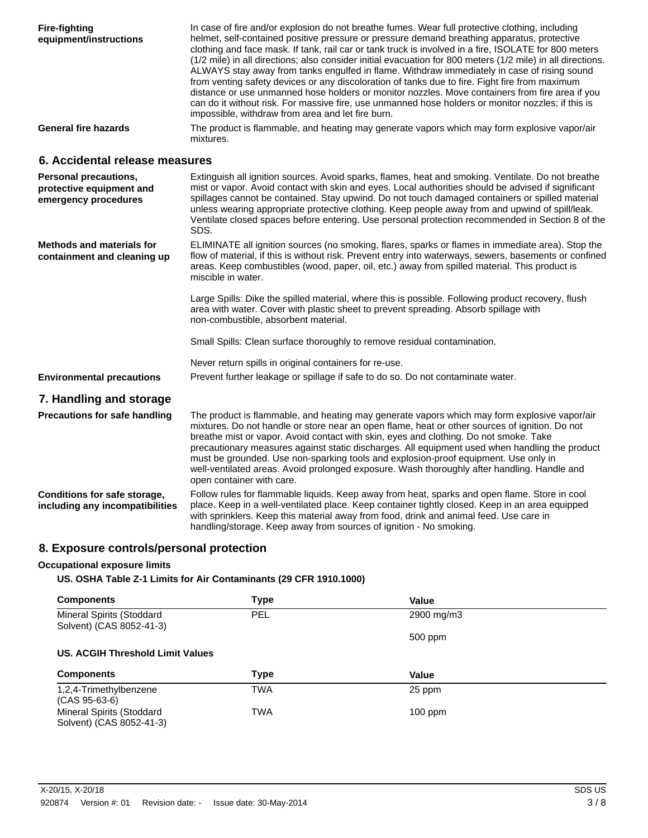| <b>Fire-fighting</b><br>equipment/instructions                                   | In case of fire and/or explosion do not breathe fumes. Wear full protective clothing, including<br>helmet, self-contained positive pressure or pressure demand breathing apparatus, protective<br>clothing and face mask. If tank, rail car or tank truck is involved in a fire, ISOLATE for 800 meters<br>(1/2 mile) in all directions; also consider initial evacuation for 800 meters (1/2 mile) in all directions.<br>ALWAYS stay away from tanks engulfed in flame. Withdraw immediately in case of rising sound<br>from venting safety devices or any discoloration of tanks due to fire. Fight fire from maximum<br>distance or use unmanned hose holders or monitor nozzles. Move containers from fire area if you<br>can do it without risk. For massive fire, use unmanned hose holders or monitor nozzles; if this is<br>impossible, withdraw from area and let fire burn. |
|----------------------------------------------------------------------------------|---------------------------------------------------------------------------------------------------------------------------------------------------------------------------------------------------------------------------------------------------------------------------------------------------------------------------------------------------------------------------------------------------------------------------------------------------------------------------------------------------------------------------------------------------------------------------------------------------------------------------------------------------------------------------------------------------------------------------------------------------------------------------------------------------------------------------------------------------------------------------------------|
| <b>General fire hazards</b>                                                      | The product is flammable, and heating may generate vapors which may form explosive vapor/air<br>mixtures.                                                                                                                                                                                                                                                                                                                                                                                                                                                                                                                                                                                                                                                                                                                                                                             |
| 6. Accidental release measures                                                   |                                                                                                                                                                                                                                                                                                                                                                                                                                                                                                                                                                                                                                                                                                                                                                                                                                                                                       |
| <b>Personal precautions,</b><br>protective equipment and<br>emergency procedures | Extinguish all ignition sources. Avoid sparks, flames, heat and smoking. Ventilate. Do not breathe<br>mist or vapor. Avoid contact with skin and eyes. Local authorities should be advised if significant<br>spillages cannot be contained. Stay upwind. Do not touch damaged containers or spilled material<br>unless wearing appropriate protective clothing. Keep people away from and upwind of spill/leak.<br>Ventilate closed spaces before entering. Use personal protection recommended in Section 8 of the<br>SDS.                                                                                                                                                                                                                                                                                                                                                           |
| <b>Methods and materials for</b><br>containment and cleaning up                  | ELIMINATE all ignition sources (no smoking, flares, sparks or flames in immediate area). Stop the<br>flow of material, if this is without risk. Prevent entry into waterways, sewers, basements or confined<br>areas. Keep combustibles (wood, paper, oil, etc.) away from spilled material. This product is<br>miscible in water.                                                                                                                                                                                                                                                                                                                                                                                                                                                                                                                                                    |
|                                                                                  | Large Spills: Dike the spilled material, where this is possible. Following product recovery, flush<br>area with water. Cover with plastic sheet to prevent spreading. Absorb spillage with<br>non-combustible, absorbent material.                                                                                                                                                                                                                                                                                                                                                                                                                                                                                                                                                                                                                                                    |
|                                                                                  | Small Spills: Clean surface thoroughly to remove residual contamination.                                                                                                                                                                                                                                                                                                                                                                                                                                                                                                                                                                                                                                                                                                                                                                                                              |
| <b>Environmental precautions</b>                                                 | Never return spills in original containers for re-use.<br>Prevent further leakage or spillage if safe to do so. Do not contaminate water.                                                                                                                                                                                                                                                                                                                                                                                                                                                                                                                                                                                                                                                                                                                                             |
|                                                                                  |                                                                                                                                                                                                                                                                                                                                                                                                                                                                                                                                                                                                                                                                                                                                                                                                                                                                                       |
| 7. Handling and storage                                                          |                                                                                                                                                                                                                                                                                                                                                                                                                                                                                                                                                                                                                                                                                                                                                                                                                                                                                       |
| <b>Precautions for safe handling</b>                                             | The product is flammable, and heating may generate vapors which may form explosive vapor/air<br>mixtures. Do not handle or store near an open flame, heat or other sources of ignition. Do not<br>breathe mist or vapor. Avoid contact with skin, eyes and clothing. Do not smoke. Take<br>precautionary measures against static discharges. All equipment used when handling the product<br>must be grounded. Use non-sparking tools and explosion-proof equipment. Use only in<br>well-ventilated areas. Avoid prolonged exposure. Wash thoroughly after handling. Handle and<br>open container with care.                                                                                                                                                                                                                                                                          |
| Conditions for safe storage,<br>including any incompatibilities                  | Follow rules for flammable liquids. Keep away from heat, sparks and open flame. Store in cool<br>place. Keep in a well-ventilated place. Keep container tightly closed. Keep in an area equipped<br>with sprinklers. Keep this material away from food, drink and animal feed. Use care in<br>handling/storage. Keep away from sources of ignition - No smoking.                                                                                                                                                                                                                                                                                                                                                                                                                                                                                                                      |

# **8. Exposure controls/personal protection**

#### **Occupational exposure limits**

#### **US. OSHA Table Z-1 Limits for Air Contaminants (29 CFR 1910.1000)**

| <b>Components</b>                                     | <b>Type</b> | Value      |  |
|-------------------------------------------------------|-------------|------------|--|
| Mineral Spirits (Stoddard                             | <b>PEL</b>  | 2900 mg/m3 |  |
| Solvent) (CAS 8052-41-3)                              |             |            |  |
|                                                       |             | 500 ppm    |  |
| US. ACGIH Threshold Limit Values                      |             |            |  |
| <b>Components</b>                                     | <b>Type</b> | Value      |  |
| 1,2,4-Trimethylbenzene                                | <b>TWA</b>  | 25 ppm     |  |
| $(CAS 95-63-6)$                                       |             |            |  |
| Mineral Spirits (Stoddard<br>Solvent) (CAS 8052-41-3) | <b>TWA</b>  | $100$ ppm  |  |
|                                                       |             |            |  |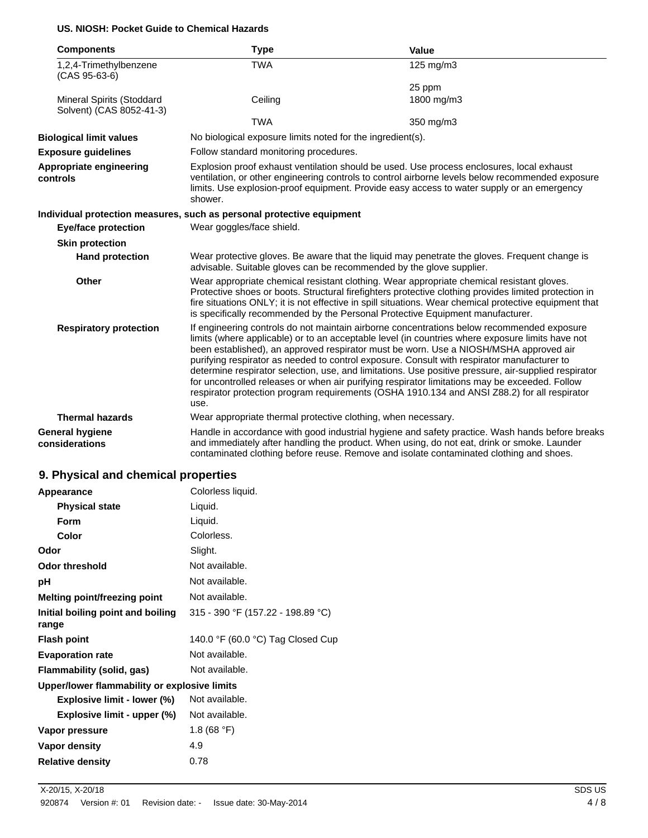#### **US. NIOSH: Pocket Guide to Chemical Hazards**

| <b>Components</b>                                            | <b>Type</b>                                                                                                                                                                                                                                                                                            | Value                                                                                                                                                                                                                                                                                                                                                                                                                                                                                                                                                                                                                                                                                            |
|--------------------------------------------------------------|--------------------------------------------------------------------------------------------------------------------------------------------------------------------------------------------------------------------------------------------------------------------------------------------------------|--------------------------------------------------------------------------------------------------------------------------------------------------------------------------------------------------------------------------------------------------------------------------------------------------------------------------------------------------------------------------------------------------------------------------------------------------------------------------------------------------------------------------------------------------------------------------------------------------------------------------------------------------------------------------------------------------|
| 1,2,4-Trimethylbenzene<br>(CAS 95-63-6)                      | <b>TWA</b>                                                                                                                                                                                                                                                                                             | 125 mg/m3                                                                                                                                                                                                                                                                                                                                                                                                                                                                                                                                                                                                                                                                                        |
|                                                              |                                                                                                                                                                                                                                                                                                        | 25 ppm                                                                                                                                                                                                                                                                                                                                                                                                                                                                                                                                                                                                                                                                                           |
| <b>Mineral Spirits (Stoddard</b><br>Solvent) (CAS 8052-41-3) | Ceiling                                                                                                                                                                                                                                                                                                | 1800 mg/m3                                                                                                                                                                                                                                                                                                                                                                                                                                                                                                                                                                                                                                                                                       |
|                                                              | <b>TWA</b>                                                                                                                                                                                                                                                                                             | 350 mg/m3                                                                                                                                                                                                                                                                                                                                                                                                                                                                                                                                                                                                                                                                                        |
| <b>Biological limit values</b>                               | No biological exposure limits noted for the ingredient(s).                                                                                                                                                                                                                                             |                                                                                                                                                                                                                                                                                                                                                                                                                                                                                                                                                                                                                                                                                                  |
| <b>Exposure guidelines</b>                                   | Follow standard monitoring procedures.                                                                                                                                                                                                                                                                 |                                                                                                                                                                                                                                                                                                                                                                                                                                                                                                                                                                                                                                                                                                  |
| Appropriate engineering<br>controls                          | Explosion proof exhaust ventilation should be used. Use process enclosures, local exhaust<br>ventilation, or other engineering controls to control airborne levels below recommended exposure<br>limits. Use explosion-proof equipment. Provide easy access to water supply or an emergency<br>shower. |                                                                                                                                                                                                                                                                                                                                                                                                                                                                                                                                                                                                                                                                                                  |
|                                                              | Individual protection measures, such as personal protective equipment                                                                                                                                                                                                                                  |                                                                                                                                                                                                                                                                                                                                                                                                                                                                                                                                                                                                                                                                                                  |
| <b>Eye/face protection</b>                                   | Wear goggles/face shield.                                                                                                                                                                                                                                                                              |                                                                                                                                                                                                                                                                                                                                                                                                                                                                                                                                                                                                                                                                                                  |
| <b>Skin protection</b>                                       |                                                                                                                                                                                                                                                                                                        |                                                                                                                                                                                                                                                                                                                                                                                                                                                                                                                                                                                                                                                                                                  |
| <b>Hand protection</b>                                       | Wear protective gloves. Be aware that the liquid may penetrate the gloves. Frequent change is<br>advisable. Suitable gloves can be recommended by the glove supplier.                                                                                                                                  |                                                                                                                                                                                                                                                                                                                                                                                                                                                                                                                                                                                                                                                                                                  |
| <b>Other</b>                                                 |                                                                                                                                                                                                                                                                                                        | Wear appropriate chemical resistant clothing. Wear appropriate chemical resistant gloves.<br>Protective shoes or boots. Structural firefighters protective clothing provides limited protection in<br>fire situations ONLY; it is not effective in spill situations. Wear chemical protective equipment that<br>is specifically recommended by the Personal Protective Equipment manufacturer.                                                                                                                                                                                                                                                                                                   |
| <b>Respiratory protection</b>                                | use.                                                                                                                                                                                                                                                                                                   | If engineering controls do not maintain airborne concentrations below recommended exposure<br>limits (where applicable) or to an acceptable level (in countries where exposure limits have not<br>been established), an approved respirator must be worn. Use a NIOSH/MSHA approved air<br>purifying respirator as needed to control exposure. Consult with respirator manufacturer to<br>determine respirator selection, use, and limitations. Use positive pressure, air-supplied respirator<br>for uncontrolled releases or when air purifying respirator limitations may be exceeded. Follow<br>respirator protection program requirements (OSHA 1910.134 and ANSI Z88.2) for all respirator |
| <b>Thermal hazards</b>                                       | Wear appropriate thermal protective clothing, when necessary.                                                                                                                                                                                                                                          |                                                                                                                                                                                                                                                                                                                                                                                                                                                                                                                                                                                                                                                                                                  |
| <b>General hygiene</b><br>considerations                     |                                                                                                                                                                                                                                                                                                        | Handle in accordance with good industrial hygiene and safety practice. Wash hands before breaks<br>and immediately after handling the product. When using, do not eat, drink or smoke. Launder<br>contaminated clothing before reuse. Remove and isolate contaminated clothing and shoes.                                                                                                                                                                                                                                                                                                                                                                                                        |

# **9. Physical and chemical properties**

| Appearance                                   | Colorless liquid.                 |
|----------------------------------------------|-----------------------------------|
| <b>Physical state</b>                        | Liquid.                           |
| Form                                         | Liquid.                           |
| Color                                        | Colorless.                        |
| Odor                                         | Slight.                           |
| Odor threshold                               | Not available.                    |
| рH                                           | Not available.                    |
| Melting point/freezing point                 | Not available.                    |
| Initial boiling point and boiling<br>range   | 315 - 390 °F (157.22 - 198.89 °C) |
| <b>Flash point</b>                           | 140.0 °F (60.0 °C) Tag Closed Cup |
| <b>Evaporation rate</b>                      | Not available.                    |
| Flammability (solid, gas)                    | Not available.                    |
| Upper/lower flammability or explosive limits |                                   |
| Explosive limit - lower (%)                  | Not available.                    |
| Explosive limit - upper (%)                  | Not available.                    |
| Vapor pressure                               | 1.8 (68 °F)                       |
| Vapor density                                | 4.9                               |
| <b>Relative density</b>                      | 0.78                              |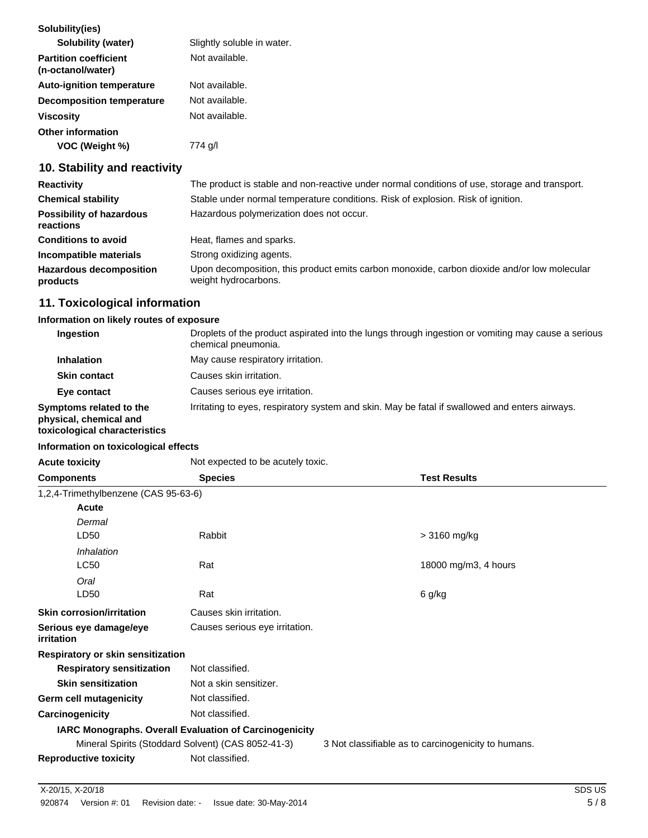| Solubility(ies)                                   |                            |
|---------------------------------------------------|----------------------------|
| <b>Solubility (water)</b>                         | Slightly soluble in water. |
| <b>Partition coefficient</b><br>(n-octanol/water) | Not available.             |
| <b>Auto-ignition temperature</b>                  | Not available.             |
| <b>Decomposition temperature</b>                  | Not available.             |
| <b>Viscosity</b>                                  | Not available.             |
| <b>Other information</b>                          |                            |
| VOC (Weight %)                                    | 774 g/l                    |

## **10. Stability and reactivity**

| <b>Reactivity</b>                            | The product is stable and non-reactive under normal conditions of use, storage and transport.                       |
|----------------------------------------------|---------------------------------------------------------------------------------------------------------------------|
| <b>Chemical stability</b>                    | Stable under normal temperature conditions. Risk of explosion. Risk of ignition.                                    |
| <b>Possibility of hazardous</b><br>reactions | Hazardous polymerization does not occur.                                                                            |
| <b>Conditions to avoid</b>                   | Heat, flames and sparks.                                                                                            |
| Incompatible materials                       | Strong oxidizing agents.                                                                                            |
| <b>Hazardous decomposition</b><br>products   | Upon decomposition, this product emits carbon monoxide, carbon dioxide and/or low molecular<br>weight hydrocarbons. |

# **11. Toxicological information**

#### **Information on likely routes of exposure**

| Ingestion                                                                          | Droplets of the product aspirated into the lungs through ingestion or vomiting may cause a serious<br>chemical pneumonia. |
|------------------------------------------------------------------------------------|---------------------------------------------------------------------------------------------------------------------------|
| <b>Inhalation</b>                                                                  | May cause respiratory irritation.                                                                                         |
| <b>Skin contact</b>                                                                | Causes skin irritation.                                                                                                   |
| Eye contact                                                                        | Causes serious eye irritation.                                                                                            |
| Symptoms related to the<br>physical, chemical and<br>toxicological characteristics | Irritating to eyes, respiratory system and skin. May be fatal if swallowed and enters airways.                            |

#### **Information on toxicological effects**

| <b>Acute toxicity</b>                                  | Not expected to be acutely toxic.                  |                                                     |
|--------------------------------------------------------|----------------------------------------------------|-----------------------------------------------------|
| <b>Components</b>                                      | <b>Species</b>                                     | <b>Test Results</b>                                 |
| 1,2,4-Trimethylbenzene (CAS 95-63-6)                   |                                                    |                                                     |
| Acute                                                  |                                                    |                                                     |
| Dermal                                                 |                                                    |                                                     |
| LD50                                                   | Rabbit                                             | > 3160 mg/kg                                        |
| Inhalation                                             |                                                    |                                                     |
| <b>LC50</b>                                            | Rat                                                | 18000 mg/m3, 4 hours                                |
| Oral                                                   |                                                    |                                                     |
| LD50                                                   | Rat                                                | 6 g/kg                                              |
| <b>Skin corrosion/irritation</b>                       | Causes skin irritation.                            |                                                     |
| Serious eye damage/eye<br>irritation                   | Causes serious eye irritation.                     |                                                     |
| Respiratory or skin sensitization                      |                                                    |                                                     |
| <b>Respiratory sensitization</b>                       | Not classified.                                    |                                                     |
| <b>Skin sensitization</b>                              | Not a skin sensitizer.                             |                                                     |
| Germ cell mutagenicity                                 | Not classified.                                    |                                                     |
| Carcinogenicity                                        | Not classified.                                    |                                                     |
| IARC Monographs. Overall Evaluation of Carcinogenicity |                                                    |                                                     |
|                                                        | Mineral Spirits (Stoddard Solvent) (CAS 8052-41-3) | 3 Not classifiable as to carcinogenicity to humans. |
| <b>Reproductive toxicity</b>                           | Not classified.                                    |                                                     |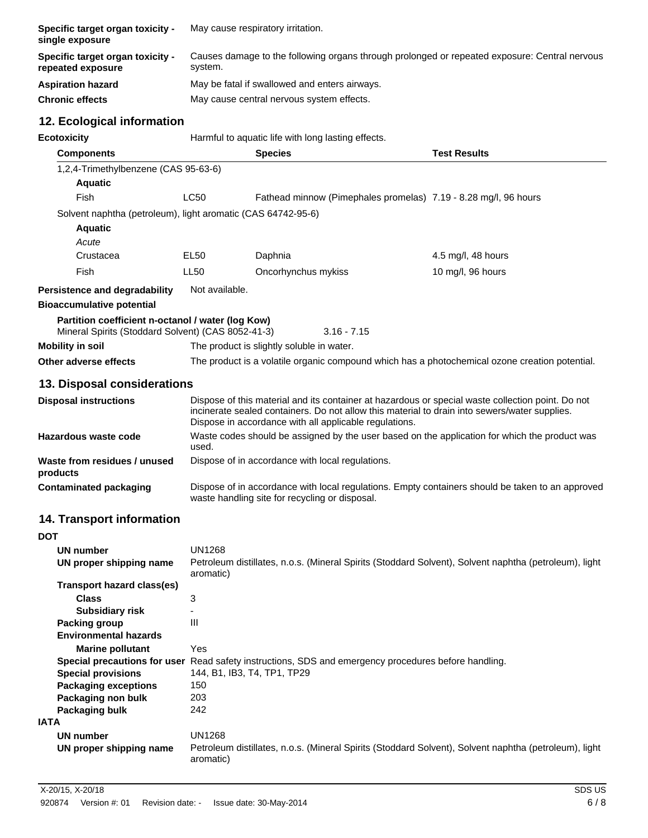| Specific target organ toxicity -<br>single exposure   | May cause respiratory irritation.                                                                        |
|-------------------------------------------------------|----------------------------------------------------------------------------------------------------------|
| Specific target organ toxicity -<br>repeated exposure | Causes damage to the following organs through prolonged or repeated exposure: Central nervous<br>system. |
| <b>Aspiration hazard</b>                              | May be fatal if swallowed and enters airways.                                                            |
| <b>Chronic effects</b>                                | May cause central nervous system effects.                                                                |

# **12. Ecological information**

| <b>Ecotoxicity</b>                                                                                      | Harmful to aquatic life with long lasting effects.                                                     |                                                                                                                                                                                                                                                              |                     |
|---------------------------------------------------------------------------------------------------------|--------------------------------------------------------------------------------------------------------|--------------------------------------------------------------------------------------------------------------------------------------------------------------------------------------------------------------------------------------------------------------|---------------------|
| <b>Components</b>                                                                                       |                                                                                                        | <b>Species</b>                                                                                                                                                                                                                                               | <b>Test Results</b> |
| 1,2,4-Trimethylbenzene (CAS 95-63-6)                                                                    |                                                                                                        |                                                                                                                                                                                                                                                              |                     |
| <b>Aquatic</b>                                                                                          |                                                                                                        |                                                                                                                                                                                                                                                              |                     |
| Fish                                                                                                    | <b>LC50</b>                                                                                            | Fathead minnow (Pimephales promelas) 7.19 - 8.28 mg/l, 96 hours                                                                                                                                                                                              |                     |
| Solvent naphtha (petroleum), light aromatic (CAS 64742-95-6)                                            |                                                                                                        |                                                                                                                                                                                                                                                              |                     |
| <b>Aquatic</b>                                                                                          |                                                                                                        |                                                                                                                                                                                                                                                              |                     |
| Acute                                                                                                   |                                                                                                        |                                                                                                                                                                                                                                                              |                     |
| Crustacea                                                                                               | EL50                                                                                                   | Daphnia                                                                                                                                                                                                                                                      | 4.5 mg/l, 48 hours  |
| Fish                                                                                                    | LL <sub>50</sub>                                                                                       | Oncorhynchus mykiss                                                                                                                                                                                                                                          | 10 mg/l, 96 hours   |
| <b>Persistence and degradability</b>                                                                    | Not available.                                                                                         |                                                                                                                                                                                                                                                              |                     |
| <b>Bioaccumulative potential</b>                                                                        |                                                                                                        |                                                                                                                                                                                                                                                              |                     |
| Partition coefficient n-octanol / water (log Kow)<br>Mineral Spirits (Stoddard Solvent) (CAS 8052-41-3) |                                                                                                        | $3.16 - 7.15$                                                                                                                                                                                                                                                |                     |
| <b>Mobility in soil</b>                                                                                 |                                                                                                        | The product is slightly soluble in water.                                                                                                                                                                                                                    |                     |
| Other adverse effects                                                                                   |                                                                                                        | The product is a volatile organic compound which has a photochemical ozone creation potential.                                                                                                                                                               |                     |
| 13. Disposal considerations                                                                             |                                                                                                        |                                                                                                                                                                                                                                                              |                     |
| <b>Disposal instructions</b>                                                                            |                                                                                                        | Dispose of this material and its container at hazardous or special waste collection point. Do not<br>incinerate sealed containers. Do not allow this material to drain into sewers/water supplies.<br>Dispose in accordance with all applicable regulations. |                     |
| Hazardous waste code                                                                                    | Waste codes should be assigned by the user based on the application for which the product was<br>used. |                                                                                                                                                                                                                                                              |                     |
| Waste from residues / unused<br>products                                                                |                                                                                                        | Dispose of in accordance with local regulations.                                                                                                                                                                                                             |                     |
| <b>Contaminated packaging</b>                                                                           |                                                                                                        | Dispose of in accordance with local regulations. Empty containers should be taken to an approved<br>waste handling site for recycling or disposal.                                                                                                           |                     |
| <b>14. Transport information</b>                                                                        |                                                                                                        |                                                                                                                                                                                                                                                              |                     |

| <b>DOT</b>                   |                                                                                                                    |
|------------------------------|--------------------------------------------------------------------------------------------------------------------|
| UN number                    | <b>UN1268</b>                                                                                                      |
| UN proper shipping name      | Petroleum distillates, n.o.s. (Mineral Spirits (Stoddard Solvent), Solvent naphtha (petroleum), light<br>aromatic) |
| Transport hazard class(es)   |                                                                                                                    |
| <b>Class</b>                 | 3                                                                                                                  |
| <b>Subsidiary risk</b>       |                                                                                                                    |
| Packing group                | $\mathbf{III}$                                                                                                     |
| <b>Environmental hazards</b> |                                                                                                                    |
| <b>Marine pollutant</b>      | Yes                                                                                                                |
|                              | Special precautions for user Read safety instructions, SDS and emergency procedures before handling.               |
| <b>Special provisions</b>    | 144, B1, IB3, T4, TP1, TP29                                                                                        |
| <b>Packaging exceptions</b>  | 150                                                                                                                |
| Packaging non bulk           | 203                                                                                                                |
| Packaging bulk               | 242                                                                                                                |
| IATA                         |                                                                                                                    |
| UN number                    | <b>UN1268</b>                                                                                                      |
| UN proper shipping name      | Petroleum distillates, n.o.s. (Mineral Spirits (Stoddard Solvent), Solvent naphtha (petroleum), light<br>aromatic) |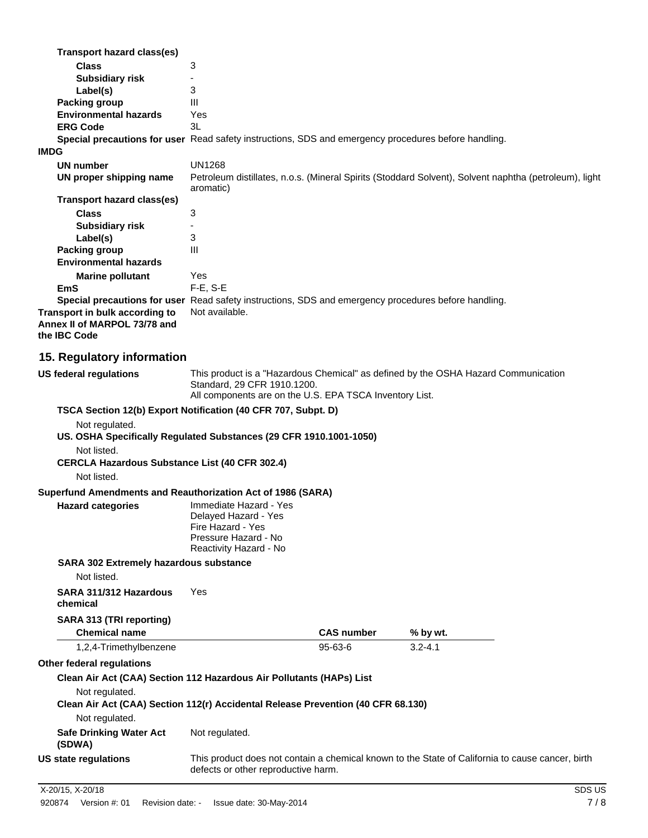| <b>Transport hazard class(es)</b>                                              |                                                                                                                                                                              |
|--------------------------------------------------------------------------------|------------------------------------------------------------------------------------------------------------------------------------------------------------------------------|
| <b>Class</b>                                                                   | 3                                                                                                                                                                            |
| <b>Subsidiary risk</b>                                                         |                                                                                                                                                                              |
| Label(s)                                                                       | 3                                                                                                                                                                            |
| <b>Packing group</b>                                                           | Ш                                                                                                                                                                            |
| <b>Environmental hazards</b>                                                   | Yes                                                                                                                                                                          |
| <b>ERG Code</b>                                                                | 3L                                                                                                                                                                           |
|                                                                                | Special precautions for user Read safety instructions, SDS and emergency procedures before handling.                                                                         |
| <b>IMDG</b>                                                                    |                                                                                                                                                                              |
| <b>UN number</b>                                                               | <b>UN1268</b>                                                                                                                                                                |
| UN proper shipping name                                                        | Petroleum distillates, n.o.s. (Mineral Spirits (Stoddard Solvent), Solvent naphtha (petroleum), light<br>aromatic)                                                           |
| Transport hazard class(es)                                                     |                                                                                                                                                                              |
| <b>Class</b>                                                                   | 3                                                                                                                                                                            |
| <b>Subsidiary risk</b>                                                         |                                                                                                                                                                              |
| Label(s)                                                                       | 3                                                                                                                                                                            |
| Packing group                                                                  | III                                                                                                                                                                          |
| <b>Environmental hazards</b>                                                   |                                                                                                                                                                              |
| <b>Marine pollutant</b>                                                        | Yes                                                                                                                                                                          |
| EmS                                                                            | $F-E$ , $S-E$                                                                                                                                                                |
|                                                                                | Special precautions for user Read safety instructions, SDS and emergency procedures before handling.                                                                         |
| Transport in bulk according to<br>Annex II of MARPOL 73/78 and<br>the IBC Code | Not available.                                                                                                                                                               |
| 15. Regulatory information                                                     |                                                                                                                                                                              |
| <b>US federal regulations</b>                                                  | This product is a "Hazardous Chemical" as defined by the OSHA Hazard Communication<br>Standard, 29 CFR 1910.1200.<br>All components are on the U.S. EPA TSCA Inventory List. |
|                                                                                | TSCA Section 12(b) Export Notification (40 CFR 707, Subpt. D)                                                                                                                |
| Not regulated.                                                                 |                                                                                                                                                                              |
|                                                                                | US. OSHA Specifically Regulated Substances (29 CFR 1910.1001-1050)                                                                                                           |
| Not listed.                                                                    |                                                                                                                                                                              |
| <b>CERCLA Hazardous Substance List (40 CFR 302.4)</b>                          |                                                                                                                                                                              |
| Not listed.                                                                    |                                                                                                                                                                              |
| Superfund Amendments and Reauthorization Act of 1986 (SARA)                    |                                                                                                                                                                              |
|                                                                                | Immediate Hazard - Yes                                                                                                                                                       |
| <b>Hazard categories</b>                                                       |                                                                                                                                                                              |

| Immediate Hazard - Yes |
|------------------------|
| Delayed Hazard - Yes   |
| Fire Hazard - Yes      |
| Pressure Hazard - No   |
| Reactivity Hazard - No |
|                        |

**SARA 302 Extremely hazardous substance**

Not listed.

**SARA 311/312 Hazardous chemical** Yes **SARA 313 (TRI reporting)**

| <b>Chemical name</b>                                                             |                | <b>CAS number</b> | % by wt.    |  |
|----------------------------------------------------------------------------------|----------------|-------------------|-------------|--|
| 1,2,4-Trimethylbenzene                                                           |                | $95 - 63 - 6$     | $3.2 - 4.1$ |  |
| Other federal regulations                                                        |                |                   |             |  |
| Clean Air Act (CAA) Section 112 Hazardous Air Pollutants (HAPs) List             |                |                   |             |  |
| Not regulated.                                                                   |                |                   |             |  |
| Clean Air Act (CAA) Section 112(r) Accidental Release Prevention (40 CFR 68.130) |                |                   |             |  |
| Not regulated.                                                                   |                |                   |             |  |
| <b>Safe Drinking Water Act</b>                                                   | Not regulated. |                   |             |  |

**(SDWA) US state regulations** This product does not contain a chemical known to the State of California to cause cancer, birth defects or other reproductive harm.